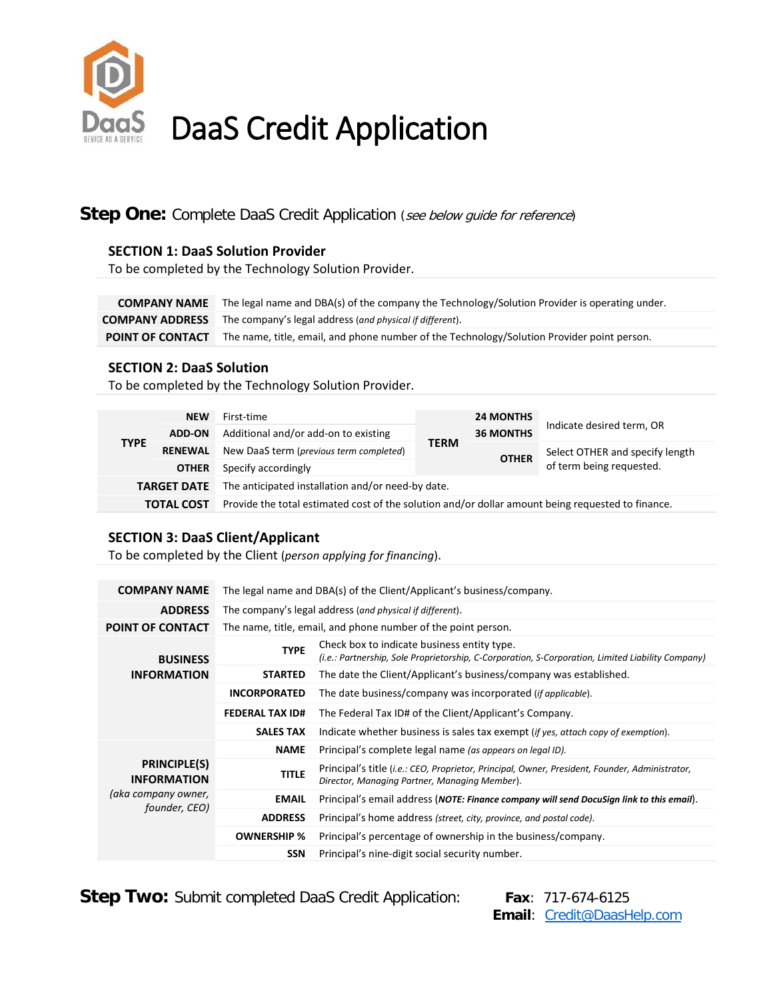

# DaaS Credit Application

### **Step One:** Complete DaaS Credit Application (see below guide for reference)

#### **SECTION 1: DaaS Solution Provider**

To be completed by the Technology Solution Provider.

**COMPANY NAME** The legal name and DBA(s) of the company the Technology/Solution Provider is operating under. **COMPANY ADDRESS** The company's legal address (*and physical if different*). **POINT OF CONTACT** The name, title, email, and phone number of the Technology/Solution Provider point person.

#### **SECTION 2: DaaS Solution**

To be completed by the Technology Solution Provider.

| <b>TYPE</b>        | <b>NEW</b><br><b>ADD-ON</b>    | First-time<br>Additional and/or add-on to existing                                                | <b>TERM</b> | <b>24 MONTHS</b><br><b>36 MONTHS</b> | Indicate desired term, OR                                   |  |  |  |  |  |  |
|--------------------|--------------------------------|---------------------------------------------------------------------------------------------------|-------------|--------------------------------------|-------------------------------------------------------------|--|--|--|--|--|--|
|                    | <b>RENEWAL</b><br><b>OTHER</b> | New DaaS term (previous term completed)<br>Specify accordingly                                    |             | <b>OTHER</b>                         | Select OTHER and specify length<br>of term being requested. |  |  |  |  |  |  |
| <b>TARGET DATE</b> |                                | The anticipated installation and/or need-by date.                                                 |             |                                      |                                                             |  |  |  |  |  |  |
| <b>TOTAL COST</b>  |                                | Provide the total estimated cost of the solution and/or dollar amount being requested to finance. |             |                                      |                                                             |  |  |  |  |  |  |

#### **SECTION 3: DaaS Client/Applicant**

To be completed by the Client (*person applying for financing*).

| <b>COMPANY NAME</b>                       | The legal name and DBA(s) of the Client/Applicant's business/company. |                                                                                                                                                  |  |  |  |  |  |  |  |
|-------------------------------------------|-----------------------------------------------------------------------|--------------------------------------------------------------------------------------------------------------------------------------------------|--|--|--|--|--|--|--|
| <b>ADDRESS</b>                            | The company's legal address (and physical if different).              |                                                                                                                                                  |  |  |  |  |  |  |  |
| <b>POINT OF CONTACT</b>                   | The name, title, email, and phone number of the point person.         |                                                                                                                                                  |  |  |  |  |  |  |  |
| <b>BUSINESS</b>                           | <b>TYPE</b>                                                           | Check box to indicate business entity type.<br>(i.e.: Partnership, Sole Proprietorship, C-Corporation, S-Corporation, Limited Liability Company) |  |  |  |  |  |  |  |
| <b>INFORMATION</b>                        | <b>STARTED</b>                                                        | The date the Client/Applicant's business/company was established.                                                                                |  |  |  |  |  |  |  |
|                                           | <b>INCORPORATED</b>                                                   | The date business/company was incorporated ( <i>if applicable</i> ).                                                                             |  |  |  |  |  |  |  |
|                                           | <b>FEDERAL TAX ID#</b>                                                | The Federal Tax ID# of the Client/Applicant's Company.                                                                                           |  |  |  |  |  |  |  |
|                                           | <b>SALES TAX</b>                                                      | Indicate whether business is sales tax exempt (if yes, attach copy of exemption).                                                                |  |  |  |  |  |  |  |
|                                           | <b>NAME</b>                                                           | Principal's complete legal name (as appears on legal ID).                                                                                        |  |  |  |  |  |  |  |
| <b>PRINCIPLE(S)</b><br><b>INFORMATION</b> | <b>TITLE</b>                                                          | Principal's title (i.e.: CEO, Proprietor, Principal, Owner, President, Founder, Administrator,<br>Director, Managing Partner, Managing Member).  |  |  |  |  |  |  |  |
| (aka company owner,<br>founder, CEO)      | <b>EMAIL</b>                                                          | Principal's email address (NOTE: Finance company will send DocuSign link to this email).                                                         |  |  |  |  |  |  |  |
|                                           | <b>ADDRESS</b>                                                        | Principal's home address (street, city, province, and postal code).                                                                              |  |  |  |  |  |  |  |
|                                           | <b>OWNERSHIP %</b>                                                    | Principal's percentage of ownership in the business/company.                                                                                     |  |  |  |  |  |  |  |
|                                           | <b>SSN</b>                                                            | Principal's nine-digit social security number.                                                                                                   |  |  |  |  |  |  |  |

**Step Two:** Submit completed DaaS Credit Application: Fax: 717-674-6125

 **Email**: [Credit@DaasHelp.com](mailto:Credit@DaasHelp.com)